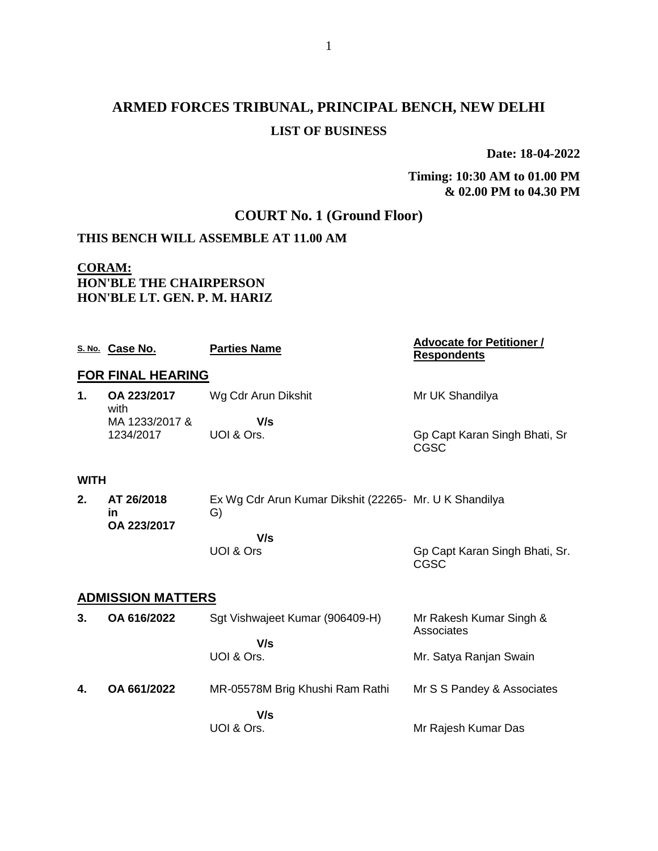# **ARMED FORCES TRIBUNAL, PRINCIPAL BENCH, NEW DELHI LIST OF BUSINESS**

**Date: 18-04-2022**

**Timing: 10:30 AM to 01.00 PM & 02.00 PM to 04.30 PM**

### **COURT No. 1 (Ground Floor)**

### **THIS BENCH WILL ASSEMBLE AT 11.00 AM**

#### **CORAM: HON'BLE THE CHAIRPERSON HON'BLE LT. GEN. P. M. HARIZ**

|                          | S. No. Case No.                 | <b>Parties Name</b>                                          | <b>Advocate for Petitioner /</b><br><b>Respondents</b> |
|--------------------------|---------------------------------|--------------------------------------------------------------|--------------------------------------------------------|
|                          | <b>FOR FINAL HEARING</b>        |                                                              |                                                        |
| 1.                       | OA 223/2017<br>with             | Wg Cdr Arun Dikshit                                          | Mr UK Shandilya                                        |
|                          | MA 1233/2017 &                  | V/s                                                          |                                                        |
|                          | 1234/2017                       | UOI & Ors.                                                   | Gp Capt Karan Singh Bhati, Sr<br>CGSC                  |
| <b>WITH</b>              |                                 |                                                              |                                                        |
| 2.                       | AT 26/2018<br>in<br>OA 223/2017 | Ex Wg Cdr Arun Kumar Dikshit (22265- Mr. U K Shandilya<br>G) |                                                        |
|                          |                                 | V/s                                                          |                                                        |
|                          |                                 | UOI & Ors                                                    | Gp Capt Karan Singh Bhati, Sr.<br><b>CGSC</b>          |
| <b>ADMISSION MATTERS</b> |                                 |                                                              |                                                        |
| 3.                       | OA 616/2022                     | Sgt Vishwajeet Kumar (906409-H)                              | Mr Rakesh Kumar Singh &<br>Associates                  |
|                          |                                 | V/s                                                          |                                                        |
|                          |                                 | UOI & Ors.                                                   | Mr. Satya Ranjan Swain                                 |
| 4.                       | OA 661/2022                     | MR-05578M Brig Khushi Ram Rathi                              | Mr S S Pandey & Associates                             |
|                          |                                 | V/s                                                          |                                                        |
|                          |                                 | UOI & Ors.                                                   | Mr Rajesh Kumar Das                                    |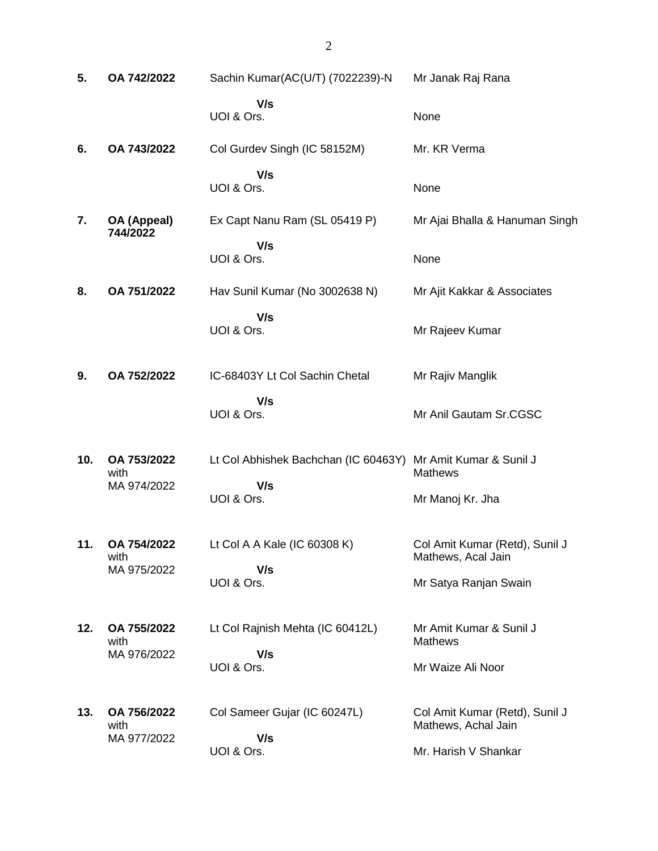| 5.  | OA 742/2022                        | Sachin Kumar(AC(U/T) (7022239)-N                                    | Mr Janak Raj Rana                                     |
|-----|------------------------------------|---------------------------------------------------------------------|-------------------------------------------------------|
|     |                                    | V/s<br>UOI & Ors.                                                   | None                                                  |
| 6.  | OA 743/2022                        | Col Gurdev Singh (IC 58152M)                                        | Mr. KR Verma                                          |
|     |                                    | V/s<br>UOI & Ors.                                                   | None                                                  |
| 7.  | OA (Appeal)<br>744/2022            | Ex Capt Nanu Ram (SL 05419 P)                                       | Mr Ajai Bhalla & Hanuman Singh                        |
|     |                                    | V/s<br>UOI & Ors.                                                   | None                                                  |
| 8.  | OA 751/2022                        | Hav Sunil Kumar (No 3002638 N)                                      | Mr Ajit Kakkar & Associates                           |
|     |                                    | V/s<br>UOI & Ors.                                                   | Mr Rajeev Kumar                                       |
| 9.  | OA 752/2022                        | IC-68403Y Lt Col Sachin Chetal                                      | Mr Rajiv Manglik                                      |
|     |                                    | V/s<br>UOI & Ors.                                                   | Mr Anil Gautam Sr.CGSC                                |
| 10. | OA 753/2022<br>with<br>MA 974/2022 | Lt Col Abhishek Bachchan (IC 60463Y) Mr Amit Kumar & Sunil J<br>V/s | <b>Mathews</b>                                        |
|     |                                    | UOI & Ors.                                                          | Mr Manoj Kr. Jha                                      |
| 11. | OA 754/2022<br>with<br>MA 975/2022 | Lt Col A A Kale (IC 60308 K)<br>V/s                                 | Col Amit Kumar (Retd), Sunil J<br>Mathews, Acal Jain  |
|     |                                    | UOI & Ors.                                                          | Mr Satya Ranjan Swain                                 |
| 12. | OA 755/2022<br>with<br>MA 976/2022 | Lt Col Rajnish Mehta (IC 60412L)<br>V/s                             | Mr Amit Kumar & Sunil J<br><b>Mathews</b>             |
|     |                                    | UOI & Ors.                                                          | Mr Waize Ali Noor                                     |
| 13. | OA 756/2022<br>with<br>MA 977/2022 | Col Sameer Gujar (IC 60247L)<br>V/s                                 | Col Amit Kumar (Retd), Sunil J<br>Mathews, Achal Jain |
|     |                                    | UOI & Ors.                                                          | Mr. Harish V Shankar                                  |

2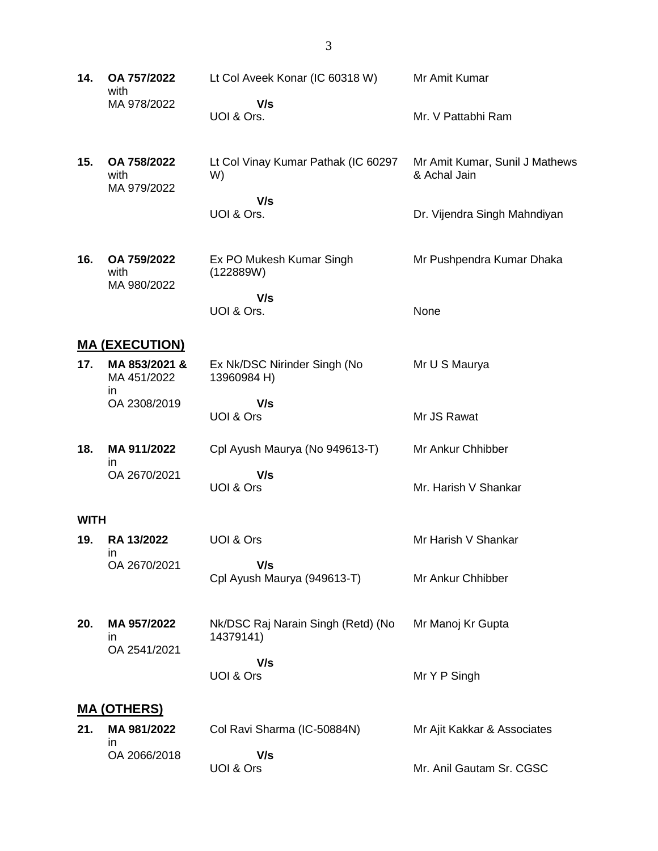**14. OA 757/2022** with MA 978/2022 Lt Col Aveek Konar (IC 60318 W)  **V/s** UOI & Ors. Mr Amit Kumar Mr. V Pattabhi Ram **15. OA 758/2022** with MA 979/2022 Lt Col Vinay Kumar Pathak (IC 60297 W)  **V/s** UOI & Ors. Mr Amit Kumar, Sunil J Mathews & Achal Jain Dr. Vijendra Singh Mahndiyan **16. OA 759/2022** with MA 980/2022 Ex PO Mukesh Kumar Singh (122889W)  **V/s** UOI & Ors. Mr Pushpendra Kumar Dhaka None **MA (EXECUTION) 17. MA 853/2021 &** MA 451/2022 in OA 2308/2019 Ex Nk/DSC Nirinder Singh (No 13960984 H)  **V/s** UOI & Ors Mr U S Maurya Mr JS Rawat **18. MA 911/2022** in OA 2670/2021 Cpl Ayush Maurya (No 949613-T)  **V/s** UOI & Ors Mr Ankur Chhibber Mr. Harish V Shankar **WITH 19. RA 13/2022** in OA 2670/2021 UOI & Ors  **V/s** Cpl Ayush Maurya (949613-T) Mr Harish V Shankar Mr Ankur Chhibber **20. MA 957/2022** in OA 2541/2021 Nk/DSC Raj Narain Singh (Retd) (No 14379141)  **V/s** UOI & Ors Mr Manoj Kr Gupta Mr Y P Singh **MA (OTHERS) 21. MA 981/2022** in OA 2066/2018 Col Ravi Sharma (IC-50884N)  **V/s** UOI & Ors Mr Ajit Kakkar & Associates Mr. Anil Gautam Sr. CGSC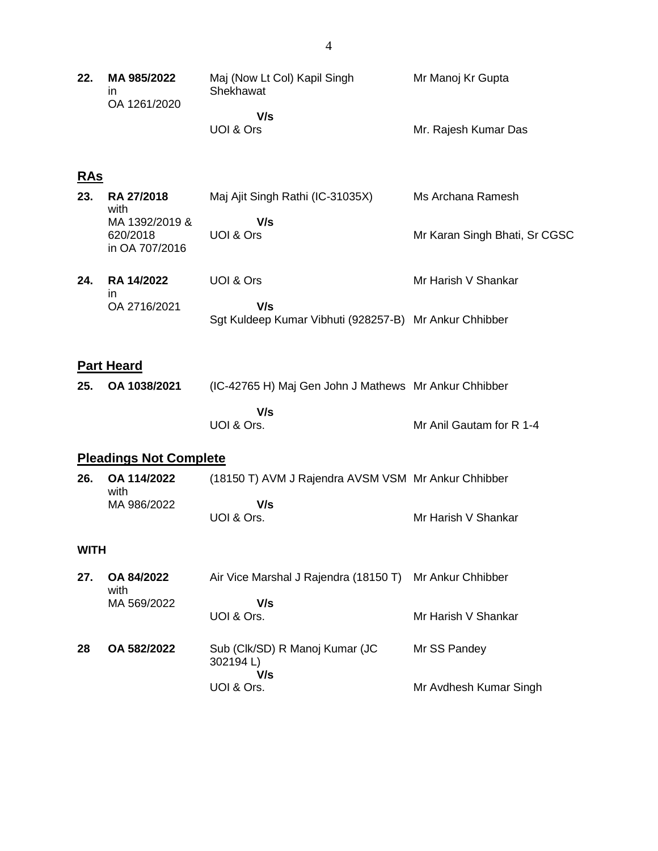| 22.               | MA 985/2022<br>in<br>OA 1261/2020            | Maj (Now Lt Col) Kapil Singh<br>Shekhawat<br>V/s<br>UOI & Ors | Mr Manoj Kr Gupta<br>Mr. Rajesh Kumar Das |
|-------------------|----------------------------------------------|---------------------------------------------------------------|-------------------------------------------|
|                   |                                              |                                                               |                                           |
| <u>RAs</u><br>23. | <b>RA 27/2018</b><br>with                    | Maj Ajit Singh Rathi (IC-31035X)                              | Ms Archana Ramesh                         |
|                   | MA 1392/2019 &<br>620/2018<br>in OA 707/2016 | V/s<br>UOI & Ors                                              | Mr Karan Singh Bhati, Sr CGSC             |
| 24.               | <b>RA 14/2022</b><br>in                      | UOI & Ors                                                     | Mr Harish V Shankar                       |
|                   | OA 2716/2021                                 | V/s<br>Sgt Kuldeep Kumar Vibhuti (928257-B) Mr Ankur Chhibber |                                           |
|                   |                                              |                                                               |                                           |
|                   | <b>Part Heard</b>                            |                                                               |                                           |
| 25.               | OA 1038/2021                                 | (IC-42765 H) Maj Gen John J Mathews Mr Ankur Chhibber         |                                           |
|                   |                                              | V/s<br>UOI & Ors.                                             | Mr Anil Gautam for R 1-4                  |
|                   | <b>Pleadings Not Complete</b>                |                                                               |                                           |
| 26.               | OA 114/2022<br>with                          | (18150 T) AVM J Rajendra AVSM VSM Mr Ankur Chhibber           |                                           |
|                   | MA 986/2022                                  | V/s<br>UOI & Ors.                                             | Mr Harish V Shankar                       |
| <b>WITH</b>       |                                              |                                                               |                                           |
| 27.               | OA 84/2022<br>with                           | Air Vice Marshal J Rajendra (18150 T)                         | Mr Ankur Chhibber                         |
|                   | MA 569/2022                                  | V/s<br>UOI & Ors.                                             | Mr Harish V Shankar                       |
| 28                | OA 582/2022                                  | Sub (Clk/SD) R Manoj Kumar (JC<br>302194L)                    | Mr SS Pandey                              |
|                   |                                              | V/s<br>UOI & Ors.                                             | Mr Avdhesh Kumar Singh                    |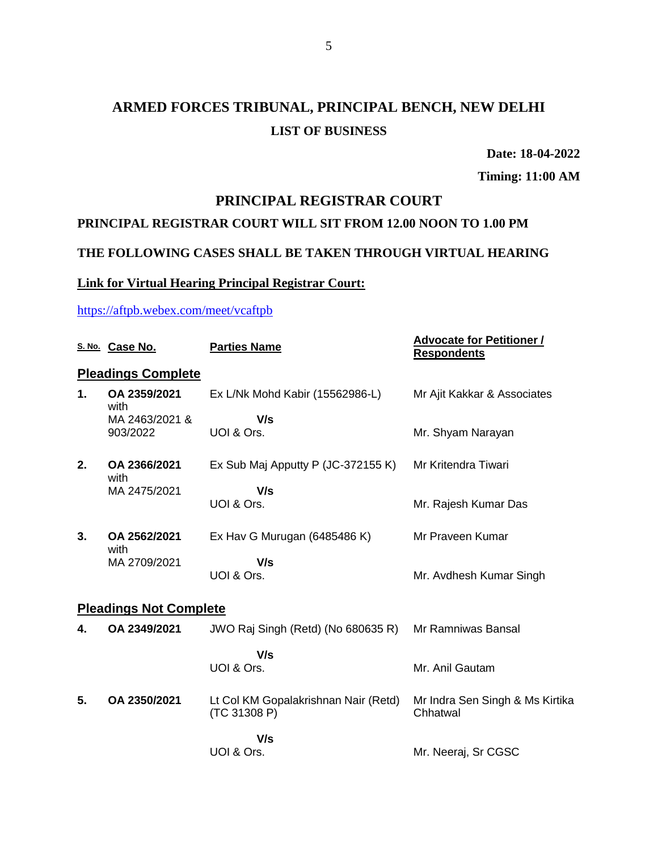# **ARMED FORCES TRIBUNAL, PRINCIPAL BENCH, NEW DELHI LIST OF BUSINESS**

**Date: 18-04-2022**

**Timing: 11:00 AM**

#### **PRINCIPAL REGISTRAR COURT**

#### **PRINCIPAL REGISTRAR COURT WILL SIT FROM 12.00 NOON TO 1.00 PM**

#### **THE FOLLOWING CASES SHALL BE TAKEN THROUGH VIRTUAL HEARING**

#### **Link for Virtual Hearing Principal Registrar Court:**

#### <https://aftpb.webex.com/meet/vcaftpb>

|    | S. No. Case No.               | <b>Parties Name</b>                                  | <b>Advocate for Petitioner /</b><br><b>Respondents</b> |  |  |
|----|-------------------------------|------------------------------------------------------|--------------------------------------------------------|--|--|
|    | <b>Pleadings Complete</b>     |                                                      |                                                        |  |  |
| 1. | OA 2359/2021<br>with          | Ex L/Nk Mohd Kabir (15562986-L)                      | Mr Ajit Kakkar & Associates                            |  |  |
|    | MA 2463/2021 &                | V/s                                                  |                                                        |  |  |
|    | 903/2022                      | UOI & Ors.                                           | Mr. Shyam Narayan                                      |  |  |
| 2. | OA 2366/2021<br>with          | Ex Sub Maj Apputty P (JC-372155 K)                   | Mr Kritendra Tiwari                                    |  |  |
|    | MA 2475/2021                  | V/s                                                  |                                                        |  |  |
|    |                               | UOI & Ors.                                           | Mr. Rajesh Kumar Das                                   |  |  |
| 3. | OA 2562/2021<br>with          | Ex Hav G Murugan (6485486 K)                         | Mr Praveen Kumar                                       |  |  |
|    | MA 2709/2021                  | V/s                                                  |                                                        |  |  |
|    |                               | UOI & Ors.                                           | Mr. Avdhesh Kumar Singh                                |  |  |
|    | <b>Pleadings Not Complete</b> |                                                      |                                                        |  |  |
| 4. | OA 2349/2021                  | JWO Raj Singh (Retd) (No 680635 R)                   | Mr Ramniwas Bansal                                     |  |  |
|    |                               | V/s                                                  |                                                        |  |  |
|    |                               | UOI & Ors.                                           | Mr. Anil Gautam                                        |  |  |
| 5. | OA 2350/2021                  | Lt Col KM Gopalakrishnan Nair (Retd)<br>(TC 31308 P) | Mr Indra Sen Singh & Ms Kirtika<br>Chhatwal            |  |  |
|    |                               | V/s<br>UOI & Ors.                                    | Mr. Neeraj, Sr CGSC                                    |  |  |
|    |                               |                                                      |                                                        |  |  |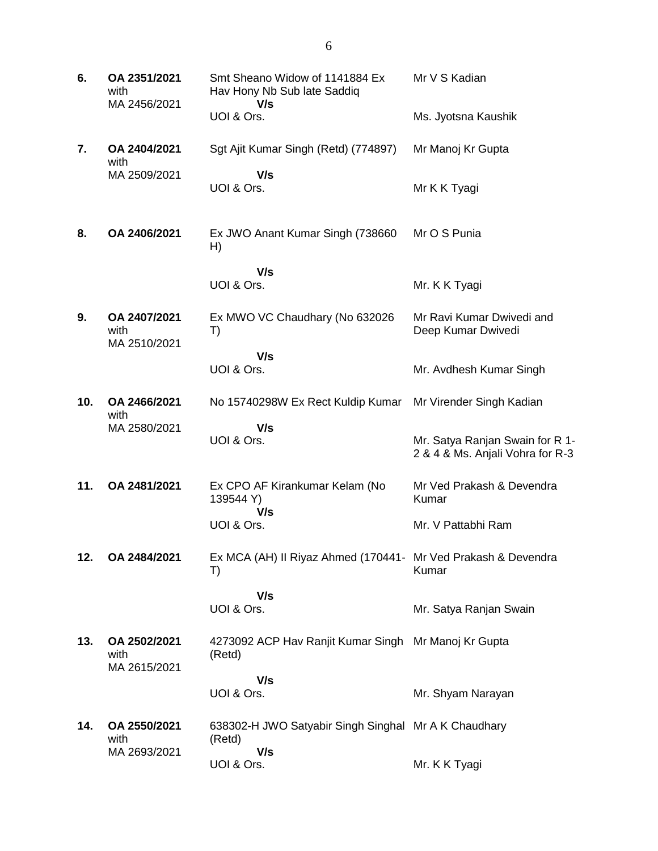| 6.  | OA 2351/2021<br>with<br>MA 2456/2021 | Smt Sheano Widow of 1141884 Ex<br>Hav Hony Nb Sub late Saddiq<br>V/s | Mr V S Kadian                                                       |
|-----|--------------------------------------|----------------------------------------------------------------------|---------------------------------------------------------------------|
|     |                                      | UOI & Ors.                                                           | Ms. Jyotsna Kaushik                                                 |
| 7.  | OA 2404/2021<br>with                 | Sgt Ajit Kumar Singh (Retd) (774897)                                 | Mr Manoj Kr Gupta                                                   |
|     | MA 2509/2021                         | V/s<br>UOI & Ors.                                                    | Mr K K Tyagi                                                        |
| 8.  | OA 2406/2021                         | Ex JWO Anant Kumar Singh (738660)<br>H)                              | Mr O S Punia                                                        |
|     |                                      | V/s<br>UOI & Ors.                                                    | Mr. K K Tyagi                                                       |
| 9.  | OA 2407/2021<br>with<br>MA 2510/2021 | Ex MWO VC Chaudhary (No 632026<br>T)                                 | Mr Ravi Kumar Dwivedi and<br>Deep Kumar Dwivedi                     |
|     |                                      | V/s<br>UOI & Ors.                                                    | Mr. Avdhesh Kumar Singh                                             |
| 10. | OA 2466/2021<br>with                 | No 15740298W Ex Rect Kuldip Kumar                                    | Mr Virender Singh Kadian                                            |
|     | MA 2580/2021                         | V/s<br>UOI & Ors.                                                    | Mr. Satya Ranjan Swain for R 1-<br>2 & 4 & Ms. Anjali Vohra for R-3 |
| 11. | OA 2481/2021                         | Ex CPO AF Kirankumar Kelam (No<br>139544 Y)<br>V/s                   | Mr Ved Prakash & Devendra<br>Kumar                                  |
|     |                                      | UOI & Ors.                                                           | Mr. V Pattabhi Ram                                                  |
| 12. | OA 2484/2021                         | Ex MCA (AH) II Riyaz Ahmed (170441- Mr Ved Prakash & Devendra<br>T)  | Kumar                                                               |
|     |                                      | V/s<br>UOI & Ors.                                                    | Mr. Satya Ranjan Swain                                              |
| 13. | OA 2502/2021<br>with<br>MA 2615/2021 | 4273092 ACP Hav Ranjit Kumar Singh Mr Manoj Kr Gupta<br>(Retd)       |                                                                     |
|     |                                      | V/s<br>UOI & Ors.                                                    | Mr. Shyam Narayan                                                   |
| 14. | OA 2550/2021<br>with                 | 638302-H JWO Satyabir Singh Singhal Mr A K Chaudhary<br>(Retd)       |                                                                     |
|     | MA 2693/2021                         | V/s<br>UOI & Ors.                                                    | Mr. K K Tyagi                                                       |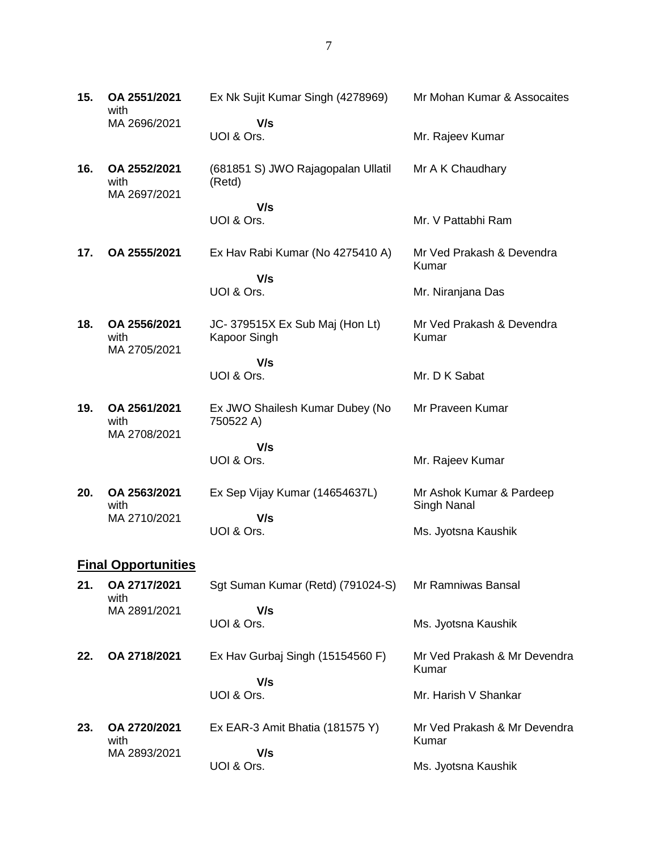**15. OA 2551/2021** with MA 2696/2021 Ex Nk Sujit Kumar Singh (4278969)  **V/s** UOI & Ors. Mr Mohan Kumar & Assocaites Mr. Rajeev Kumar **16. OA 2552/2021** with MA 2697/2021 (681851 S) JWO Rajagopalan Ullatil (Retd)  **V/s** UOI & Ors. Mr A K Chaudhary Mr. V Pattabhi Ram **17. OA 2555/2021** Ex Hav Rabi Kumar (No 4275410 A)  **V/s** UOI & Ors. Mr Ved Prakash & Devendra Kumar Mr. Niranjana Das **18. OA 2556/2021** with MA 2705/2021 JC- 379515X Ex Sub Maj (Hon Lt) Kapoor Singh  **V/s** UOI & Ors. Mr Ved Prakash & Devendra Kumar Mr. D K Sabat **19. OA 2561/2021** with MA 2708/2021 Ex JWO Shailesh Kumar Dubey (No 750522 A)  **V/s** UOI & Ors. Mr Praveen Kumar Mr. Rajeev Kumar **20. OA 2563/2021** with MA 2710/2021 Ex Sep Vijay Kumar (14654637L)  **V/s** UOI & Ors. Mr Ashok Kumar & Pardeep Singh Nanal Ms. Jyotsna Kaushik **Final Opportunities 21. OA 2717/2021** with MA 2891/2021 Sgt Suman Kumar (Retd) (791024-S)  **V/s** UOI & Ors. Mr Ramniwas Bansal Ms. Jyotsna Kaushik **22. OA 2718/2021** Ex Hav Gurbaj Singh (15154560 F)  **V/s** UOI & Ors. Mr Ved Prakash & Mr Devendra Kumar Mr. Harish V Shankar **23. OA 2720/2021** with MA 2893/2021 Ex EAR-3 Amit Bhatia (181575 Y)  **V/s** UOI & Ors. Mr Ved Prakash & Mr Devendra Kumar Ms. Jyotsna Kaushik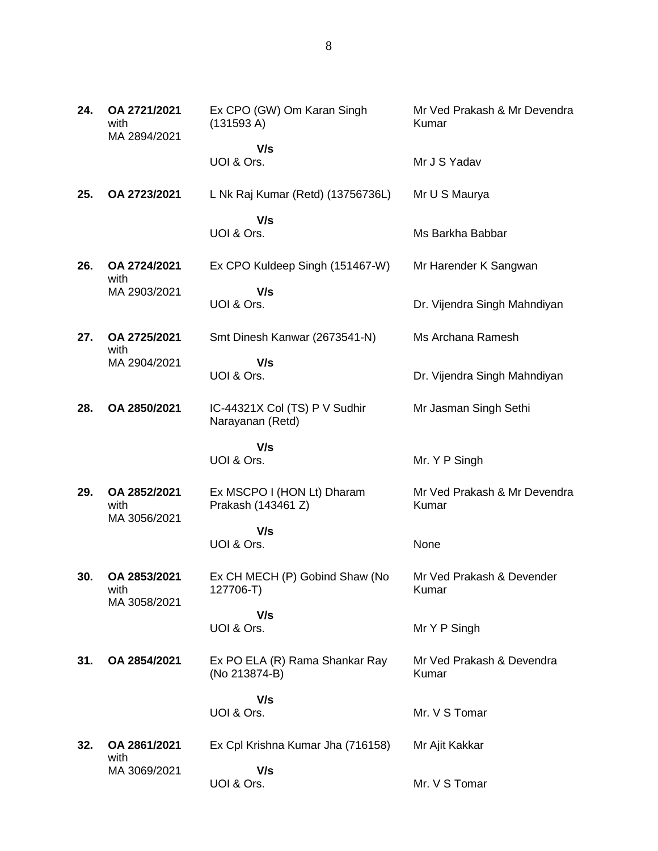| 24. | OA 2721/2021<br>with<br>MA 2894/2021 | Ex CPO (GW) Om Karan Singh<br>(131593 A)          | Mr Ved Prakash & Mr Devendra<br>Kumar |
|-----|--------------------------------------|---------------------------------------------------|---------------------------------------|
|     |                                      | V/s<br>UOI & Ors.                                 | Mr J S Yadav                          |
| 25. | OA 2723/2021                         | L Nk Raj Kumar (Retd) (13756736L)                 | Mr U S Maurya                         |
|     |                                      | V/s<br>UOI & Ors.                                 | Ms Barkha Babbar                      |
| 26. | OA 2724/2021<br>with                 | Ex CPO Kuldeep Singh (151467-W)                   | Mr Harender K Sangwan                 |
|     | MA 2903/2021                         | V/s<br>UOI & Ors.                                 | Dr. Vijendra Singh Mahndiyan          |
| 27. | OA 2725/2021<br>with                 | Smt Dinesh Kanwar (2673541-N)                     | Ms Archana Ramesh                     |
|     | MA 2904/2021                         | V/s<br>UOI & Ors.                                 | Dr. Vijendra Singh Mahndiyan          |
| 28. | OA 2850/2021                         | IC-44321X Col (TS) P V Sudhir<br>Narayanan (Retd) | Mr Jasman Singh Sethi                 |
|     |                                      | V/s<br>UOI & Ors.                                 | Mr. Y P Singh                         |
| 29. | OA 2852/2021<br>with<br>MA 3056/2021 | Ex MSCPO I (HON Lt) Dharam<br>Prakash (143461 Z)  | Mr Ved Prakash & Mr Devendra<br>Kumar |
|     |                                      | V/s<br>UOI & Ors.                                 | None                                  |
| 30. | OA 2853/2021<br>with<br>MA 3058/2021 | Ex CH MECH (P) Gobind Shaw (No<br>127706-T)       | Mr Ved Prakash & Devender<br>Kumar    |
|     |                                      | V/s<br>UOI & Ors.                                 | Mr Y P Singh                          |
| 31. | OA 2854/2021                         | Ex PO ELA (R) Rama Shankar Ray<br>(No 213874-B)   | Mr Ved Prakash & Devendra<br>Kumar    |
|     |                                      | V/s<br>UOI & Ors.                                 | Mr. V S Tomar                         |
|     |                                      |                                                   |                                       |
| 32. | OA 2861/2021<br>with                 | Ex Cpl Krishna Kumar Jha (716158)                 | Mr Ajit Kakkar                        |
|     | MA 3069/2021                         | V/s<br>UOI & Ors.                                 | Mr. V S Tomar                         |